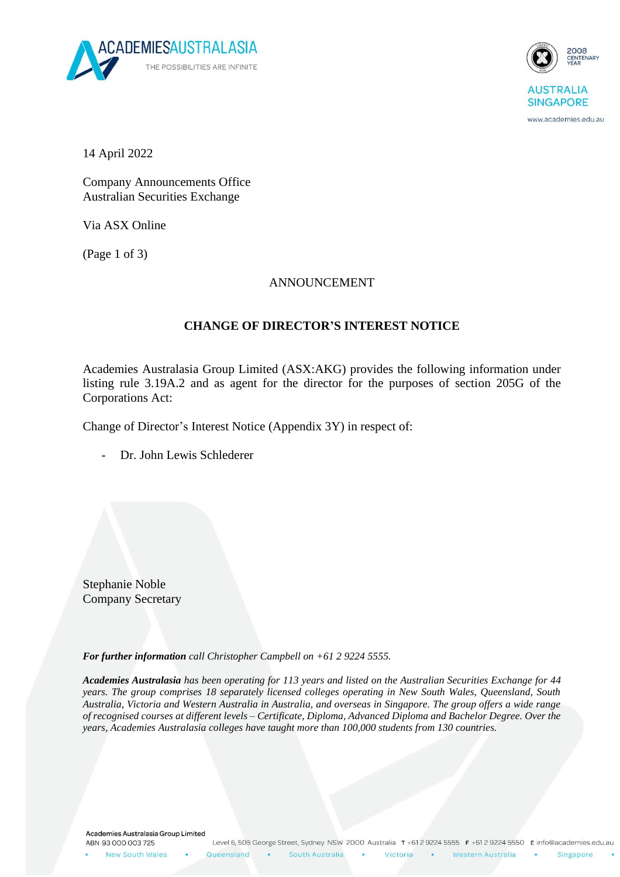



www.academies.edu.au

14 April 2022

Company Announcements Office Australian Securities Exchange

Via ASX Online

(Page 1 of 3)

## ANNOUNCEMENT

## **CHANGE OF DIRECTOR'S INTEREST NOTICE**

Academies Australasia Group Limited (ASX:AKG) provides the following information under listing rule 3.19A.2 and as agent for the director for the purposes of section 205G of the Corporations Act:

Change of Director's Interest Notice (Appendix 3Y) in respect of:

Dr. John Lewis Schlederer

Stephanie Noble Company Secretary

*For further information call Christopher Campbell on +61 2 9224 5555.*

*Academies Australasia has been operating for 113 years and listed on the Australian Securities Exchange for 44 years. The group comprises 18 separately licensed colleges operating in New South Wales, Queensland, South Australia, Victoria and Western Australia in Australia, and overseas in Singapore. The group offers a wide range of recognised courses at different levels – Certificate, Diploma, Advanced Diploma and Bachelor Degree. Over the years, Academies Australasia colleges have taught more than 100,000 students from 130 countries.*

Academies Australasia Group Limited ABN 93 000 003 725

New South Wales

**College** Western Australia

Victoria

 $\bullet$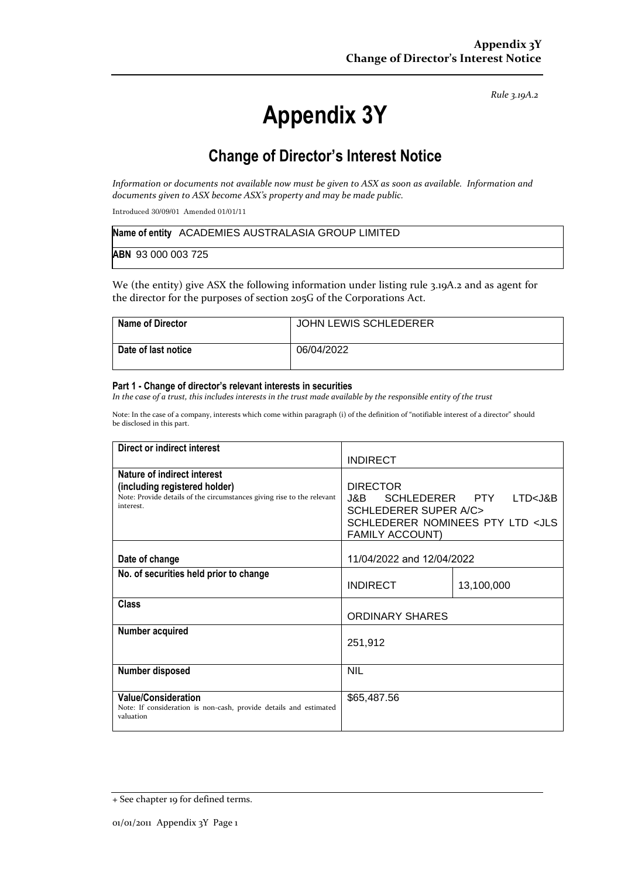*Rule 3.19A.2*

# **Appendix 3Y**

# **Change of Director's Interest Notice**

*Information or documents not available now must be given to ASX as soon as available. Information and documents given to ASX become ASX's property and may be made public.*

Introduced 30/09/01 Amended 01/01/11

|                    | Name of entity ACADEMIES AUSTRALASIA GROUP LIMITED |
|--------------------|----------------------------------------------------|
| ABN 93 000 003 725 |                                                    |

We (the entity) give ASX the following information under listing rule 3.19A.2 and as agent for the director for the purposes of section 205G of the Corporations Act.

| Name of Director    | JOHN LEWIS SCHLEDERER |
|---------------------|-----------------------|
| Date of last notice | 06/04/2022            |

#### **Part 1 - Change of director's relevant interests in securities**

*In the case of a trust, this includes interests in the trust made available by the responsible entity of the trust*

Note: In the case of a company, interests which come within paragraph (i) of the definition of "notifiable interest of a director" should be disclosed in this part.

| Direct or indirect interest                                                                                                                         |                                                                                                                                                                              |            |
|-----------------------------------------------------------------------------------------------------------------------------------------------------|------------------------------------------------------------------------------------------------------------------------------------------------------------------------------|------------|
|                                                                                                                                                     | <b>INDIRECT</b>                                                                                                                                                              |            |
| Nature of indirect interest<br>(including registered holder)<br>Note: Provide details of the circumstances giving rise to the relevant<br>interest. | <b>DIRECTOR</b><br>SCHLEDERER PTY LTD <j&b<br>J&amp;B —<br/><b>SCHLEDERER SUPER A/C&gt;</b><br/>SCHLEDERER NOMINEES PTY LTD <jls<br><b>FAMILY ACCOUNT)</b></jls<br></j&b<br> |            |
| Date of change                                                                                                                                      | 11/04/2022 and 12/04/2022                                                                                                                                                    |            |
| No. of securities held prior to change                                                                                                              | <b>INDIRECT</b>                                                                                                                                                              | 13,100,000 |
| <b>Class</b>                                                                                                                                        | ORDINARY SHARES                                                                                                                                                              |            |
| Number acquired                                                                                                                                     | 251,912                                                                                                                                                                      |            |
| <b>Number disposed</b>                                                                                                                              | <b>NIL</b>                                                                                                                                                                   |            |
| <b>Value/Consideration</b><br>Note: If consideration is non-cash, provide details and estimated<br>valuation                                        | \$65,487.56                                                                                                                                                                  |            |

<sup>+</sup> See chapter 19 for defined terms.